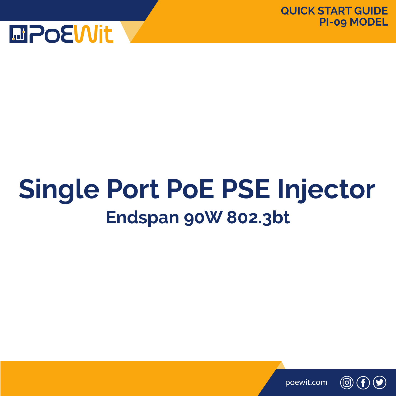

# **Single Port PoE PSE Injector Endspan 90W 802.3bt**



(ල)  $\mathbf{f}$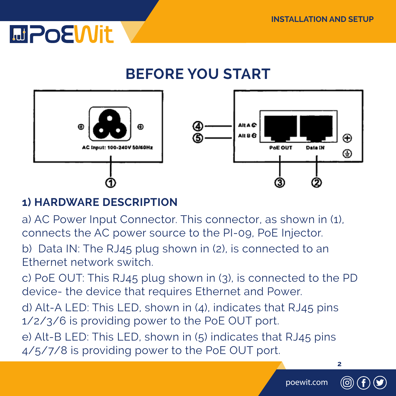

### **BEFORE YOU START**



### **1) HARDWARE DESCRIPTION**

a) AC Power Input Connector. This connector, as shown in (1), connects the AC power source to the PI-09, PoE Injector.

b) Data IN: The RJ45 plug shown in (2), is connected to an Ethernet network switch.

c) PoE OUT: This RJ45 plug shown in (3), is connected to the PD device- the device that requires Ethernet and Power.

d) Alt-A LED: This LED, shown in (4), indicates that RJ45 pins 1/2/3/6 is providing power to the PoE OUT port.

e) Alt-B LED: This LED, shown in (5) indicates that RJ45 pins 4/5/7/8 is providing power to the PoE OUT port.

poewit.com



**2**